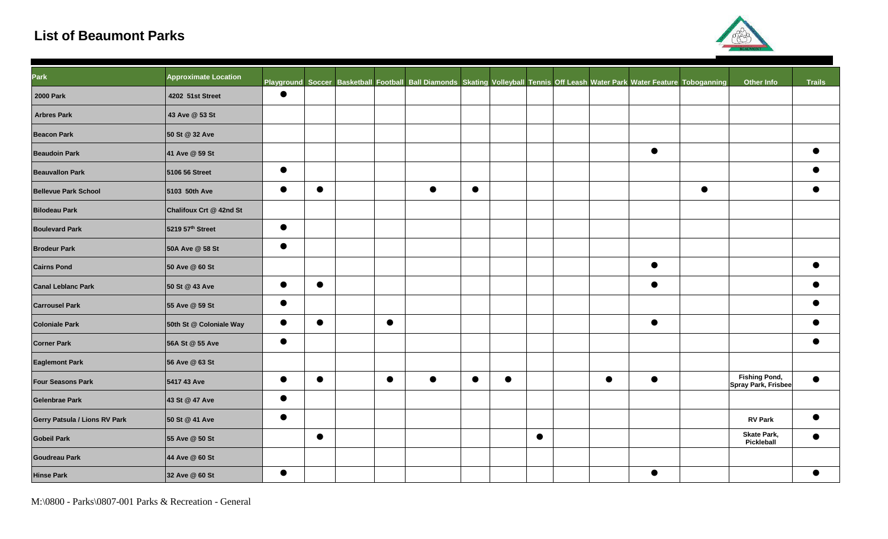## **List of Beaumont Parks**



| Park                          | <b>Approximate Location</b>  |           |           |           | Playground Soccer Basketball Football Ball Diamonds Skating Volleyball Tennis Off Leash Water Park Water Feature Toboganning |           |           |           |           |           |           | <b>Other Info</b>                           | <b>Trails</b> |
|-------------------------------|------------------------------|-----------|-----------|-----------|------------------------------------------------------------------------------------------------------------------------------|-----------|-----------|-----------|-----------|-----------|-----------|---------------------------------------------|---------------|
| <b>2000 Park</b>              | 4202 51st Street             | $\bullet$ |           |           |                                                                                                                              |           |           |           |           |           |           |                                             |               |
| <b>Arbres Park</b>            | 43 Ave @ 53 St               |           |           |           |                                                                                                                              |           |           |           |           |           |           |                                             |               |
| <b>Beacon Park</b>            | 50 St @ 32 Ave               |           |           |           |                                                                                                                              |           |           |           |           |           |           |                                             |               |
| <b>Beaudoin Park</b>          | 41 Ave @ 59 St               |           |           |           |                                                                                                                              |           |           |           |           | $\bullet$ |           |                                             | $\bullet$     |
| <b>Beauvallon Park</b>        | 5106 56 Street               | $\bullet$ |           |           |                                                                                                                              |           |           |           |           |           |           |                                             |               |
| <b>Bellevue Park School</b>   | 5103 50th Ave                | $\bullet$ | $\bullet$ |           | $\bullet$                                                                                                                    | $\bullet$ |           |           |           |           | $\bullet$ |                                             | $\bullet$     |
| <b>Bilodeau Park</b>          | Chalifoux Crt @ 42nd St      |           |           |           |                                                                                                                              |           |           |           |           |           |           |                                             |               |
| <b>Boulevard Park</b>         | 5219 57 <sup>th</sup> Street | $\bullet$ |           |           |                                                                                                                              |           |           |           |           |           |           |                                             |               |
| <b>Brodeur Park</b>           | 50A Ave @ 58 St              | $\bullet$ |           |           |                                                                                                                              |           |           |           |           |           |           |                                             |               |
| <b>Cairns Pond</b>            | 50 Ave @ 60 St               |           |           |           |                                                                                                                              |           |           |           |           | $\bullet$ |           |                                             | $\bullet$     |
| <b>Canal Leblanc Park</b>     | 50 St @ 43 Ave               | $\bullet$ | $\bullet$ |           |                                                                                                                              |           |           |           |           | $\bullet$ |           |                                             | $\bullet$     |
| <b>Carrousel Park</b>         | 55 Ave @ 59 St               | $\bullet$ |           |           |                                                                                                                              |           |           |           |           |           |           |                                             | ●             |
| <b>Coloniale Park</b>         | 50th St @ Coloniale Way      | $\bullet$ | $\bullet$ | $\bullet$ |                                                                                                                              |           |           |           |           | $\bullet$ |           |                                             | $\bullet$     |
| <b>Corner Park</b>            | 56A St @ 55 Ave              | $\bullet$ |           |           |                                                                                                                              |           |           |           |           |           |           |                                             | $\bullet$     |
| <b>Eaglemont Park</b>         | 56 Ave @ 63 St               |           |           |           |                                                                                                                              |           |           |           |           |           |           |                                             |               |
| <b>Four Seasons Park</b>      | 5417 43 Ave                  | $\bullet$ | $\bullet$ | $\bullet$ | $\bullet$                                                                                                                    | $\bullet$ | $\bullet$ |           | $\bullet$ | $\bullet$ |           | <b>Fishing Pond,</b><br>Spray Park, Frisbee | $\bullet$     |
| <b>Gelenbrae Park</b>         | 43 St @ 47 Ave               | $\bullet$ |           |           |                                                                                                                              |           |           |           |           |           |           |                                             |               |
| Gerry Patsula / Lions RV Park | 50 St @ 41 Ave               | $\bullet$ |           |           |                                                                                                                              |           |           |           |           |           |           | <b>RV Park</b>                              | e             |
| <b>Gobeil Park</b>            | 55 Ave @ 50 St               |           | $\bullet$ |           |                                                                                                                              |           |           | $\bullet$ |           |           |           | <b>Skate Park,</b><br>Pickleball            | $\bullet$     |
| <b>Goudreau Park</b>          | 44 Ave @ 60 St               |           |           |           |                                                                                                                              |           |           |           |           |           |           |                                             |               |
| <b>Hinse Park</b>             | 32 Ave @ 60 St               | $\bullet$ |           |           |                                                                                                                              |           |           |           |           | $\bullet$ |           |                                             |               |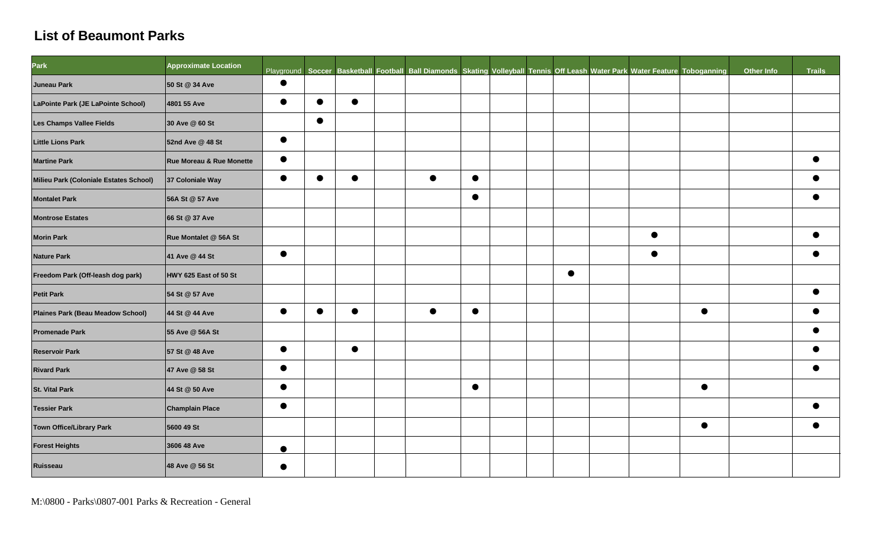## **List of Beaumont Parks**

| <b>Park</b>                            | <b>Approximate Location</b>         |           |           |           |           |           | Playground Soccer Basketball Football Ball Diamonds Skating Volleyball Tennis Off Leash Water Park Water Feature Toboganning |           |           |           | Other Info | Trails |
|----------------------------------------|-------------------------------------|-----------|-----------|-----------|-----------|-----------|------------------------------------------------------------------------------------------------------------------------------|-----------|-----------|-----------|------------|--------|
| Juneau Park                            | 50 St @ 34 Ave                      | $\bullet$ |           |           |           |           |                                                                                                                              |           |           |           |            |        |
| LaPointe Park (JE LaPointe School)     | 4801 55 Ave                         | $\bullet$ | $\bullet$ | $\bullet$ |           |           |                                                                                                                              |           |           |           |            |        |
| Les Champs Vallee Fields               | 30 Ave @ 60 St                      |           | $\bullet$ |           |           |           |                                                                                                                              |           |           |           |            |        |
| <b>Little Lions Park</b>               | 52nd Ave @ 48 St                    | $\bullet$ |           |           |           |           |                                                                                                                              |           |           |           |            |        |
| <b>Martine Park</b>                    | <b>Rue Moreau &amp; Rue Monette</b> | $\bullet$ |           |           |           |           |                                                                                                                              |           |           |           |            |        |
| Milieu Park (Coloniale Estates School) | 37 Coloniale Way                    | $\bullet$ | $\bullet$ | $\bullet$ | $\bullet$ | $\bullet$ |                                                                                                                              |           |           |           |            |        |
| <b>Montalet Park</b>                   | 56A St @ 57 Ave                     |           |           |           |           | $\bullet$ |                                                                                                                              |           |           |           |            |        |
| <b>Montrose Estates</b>                | 66 St @ 37 Ave                      |           |           |           |           |           |                                                                                                                              |           |           |           |            |        |
| <b>Morin Park</b>                      | Rue Montalet @ 56A St               |           |           |           |           |           |                                                                                                                              |           | $\bullet$ |           |            |        |
| <b>Nature Park</b>                     | 41 Ave @ 44 St                      | $\bullet$ |           |           |           |           |                                                                                                                              |           | $\bullet$ |           |            |        |
| Freedom Park (Off-leash dog park)      | HWY 625 East of 50 St               |           |           |           |           |           |                                                                                                                              | $\bullet$ |           |           |            |        |
| <b>Petit Park</b>                      | 54 St @ 57 Ave                      |           |           |           |           |           |                                                                                                                              |           |           |           |            |        |
| Plaines Park (Beau Meadow School)      | 44 St @ 44 Ave                      | $\bullet$ | $\bullet$ |           |           | $\bullet$ |                                                                                                                              |           |           | $\bullet$ |            |        |
| <b>Promenade Park</b>                  | 55 Ave @ 56A St                     |           |           |           |           |           |                                                                                                                              |           |           |           |            |        |
| <b>Reservoir Park</b>                  | 57 St @ 48 Ave                      | $\bullet$ |           | $\bullet$ |           |           |                                                                                                                              |           |           |           |            |        |
| <b>Rivard Park</b>                     | 47 Ave @ 58 St                      | $\bullet$ |           |           |           |           |                                                                                                                              |           |           |           |            |        |
| <b>St. Vital Park</b>                  | 44 St @ 50 Ave                      | $\bullet$ |           |           |           | $\bullet$ |                                                                                                                              |           |           | $\bullet$ |            |        |
| <b>Tessier Park</b>                    | <b>Champlain Place</b>              | $\bullet$ |           |           |           |           |                                                                                                                              |           |           |           |            |        |
| <b>Town Office/Library Park</b>        | 5600 49 St                          |           |           |           |           |           |                                                                                                                              |           |           | $\bullet$ |            |        |
| <b>Forest Heights</b>                  | 3606 48 Ave                         |           |           |           |           |           |                                                                                                                              |           |           |           |            |        |
| Ruisseau                               | 48 Ave @ 56 St                      | $\bullet$ |           |           |           |           |                                                                                                                              |           |           |           |            |        |